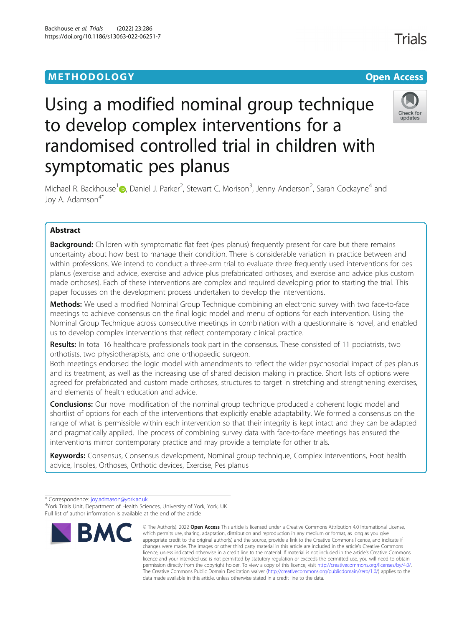# **METHODOLOGY CONSUMING ACCESS CONSUMING ACCESS**

# Using a modified nominal group technique to develop complex interventions for a randomised controlled trial in children with symptomatic pes planus

Michael R. Backhouse<sup>1</sup> (D[,](http://orcid.org/0000-0003-0056-8467) Daniel J. Parker<sup>2</sup>, Stewart C. Morison<sup>3</sup>, Jenny Anderson<sup>2</sup>, Sarah Cockayne<sup>4</sup> and Joy A. Adamson<sup>4\*</sup>

# Abstract

**Background:** Children with symptomatic flat feet (pes planus) frequently present for care but there remains uncertainty about how best to manage their condition. There is considerable variation in practice between and within professions. We intend to conduct a three-arm trial to evaluate three frequently used interventions for pes planus (exercise and advice, exercise and advice plus prefabricated orthoses, and exercise and advice plus custom made orthoses). Each of these interventions are complex and required developing prior to starting the trial. This paper focusses on the development process undertaken to develop the interventions.

Methods: We used a modified Nominal Group Technique combining an electronic survey with two face-to-face meetings to achieve consensus on the final logic model and menu of options for each intervention. Using the Nominal Group Technique across consecutive meetings in combination with a questionnaire is novel, and enabled us to develop complex interventions that reflect contemporary clinical practice.

Results: In total 16 healthcare professionals took part in the consensus. These consisted of 11 podiatrists, two orthotists, two physiotherapists, and one orthopaedic surgeon.

Both meetings endorsed the logic model with amendments to reflect the wider psychosocial impact of pes planus and its treatment, as well as the increasing use of shared decision making in practice. Short lists of options were agreed for prefabricated and custom made orthoses, structures to target in stretching and strengthening exercises, and elements of health education and advice.

**Conclusions:** Our novel modification of the nominal group technique produced a coherent logic model and shortlist of options for each of the interventions that explicitly enable adaptability. We formed a consensus on the range of what is permissible within each intervention so that their integrity is kept intact and they can be adapted and pragmatically applied. The process of combining survey data with face-to-face meetings has ensured the interventions mirror contemporary practice and may provide a template for other trials.

Keywords: Consensus, Consensus development, Nominal group technique, Complex interventions, Foot health advice, Insoles, Orthoses, Orthotic devices, Exercise, Pes planus

<sup>&</sup>lt;sup>4</sup>York Trials Unit, Department of Health Sciences, University of York, York, UK Full list of author information is available at the end of the article



<sup>©</sup> The Author(s), 2022 **Open Access** This article is licensed under a Creative Commons Attribution 4.0 International License, which permits use, sharing, adaptation, distribution and reproduction in any medium or format, as long as you give appropriate credit to the original author(s) and the source, provide a link to the Creative Commons licence, and indicate if changes were made. The images or other third party material in this article are included in the article's Creative Commons licence, unless indicated otherwise in a credit line to the material. If material is not included in the article's Creative Commons licence and your intended use is not permitted by statutory regulation or exceeds the permitted use, you will need to obtain permission directly from the copyright holder. To view a copy of this licence, visit [http://creativecommons.org/licenses/by/4.0/.](http://creativecommons.org/licenses/by/4.0/) The Creative Commons Public Domain Dedication waiver [\(http://creativecommons.org/publicdomain/zero/1.0/](http://creativecommons.org/publicdomain/zero/1.0/)) applies to the data made available in this article, unless otherwise stated in a credit line to the data.

**Trials** 



<sup>\*</sup> Correspondence: [joy.admason@york.ac.uk](mailto:joy.admason@york.ac.uk) <sup>4</sup>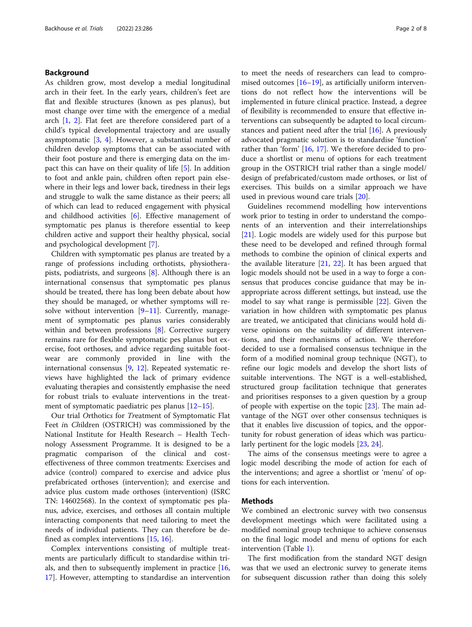# Background

As children grow, most develop a medial longitudinal arch in their feet. In the early years, children's feet are flat and flexible structures (known as pes planus), but most change over time with the emergence of a medial arch [[1,](#page-7-0) [2](#page-7-0)]. Flat feet are therefore considered part of a child's typical developmental trajectory and are usually asymptomatic [\[3,](#page-7-0) [4](#page-7-0)]. However, a substantial number of children develop symptoms that can be associated with their foot posture and there is emerging data on the impact this can have on their quality of life [\[5](#page-7-0)]. In addition to foot and ankle pain, children often report pain elsewhere in their legs and lower back, tiredness in their legs and struggle to walk the same distance as their peers; all of which can lead to reduced engagement with physical and childhood activities [\[6](#page-7-0)]. Effective management of symptomatic pes planus is therefore essential to keep children active and support their healthy physical, social and psychological development [[7\]](#page-7-0).

Children with symptomatic pes planus are treated by a range of professions including orthotists, physiotherapists, podiatrists, and surgeons [[8\]](#page-7-0). Although there is an international consensus that symptomatic pes planus should be treated, there has long been debate about how they should be managed, or whether symptoms will resolve without intervention  $[9-11]$  $[9-11]$  $[9-11]$  $[9-11]$ . Currently, management of symptomatic pes planus varies considerably within and between professions [[8\]](#page-7-0). Corrective surgery remains rare for flexible symptomatic pes planus but exercise, foot orthoses, and advice regarding suitable footwear are commonly provided in line with the international consensus [\[9](#page-7-0), [12](#page-7-0)]. Repeated systematic reviews have highlighted the lack of primary evidence evaluating therapies and consistently emphasise the need for robust trials to evaluate interventions in the treatment of symptomatic paediatric pes planus [\[12](#page-7-0)–[15\]](#page-7-0).

Our trial Orthotics for Treatment of Symptomatic Flat Feet in Children (OSTRICH) was commissioned by the National Institute for Health Research – Health Technology Assessment Programme. It is designed to be a pragmatic comparison of the clinical and costeffectiveness of three common treatments: Exercises and advice (control) compared to exercise and advice plus prefabricated orthoses (intervention); and exercise and advice plus custom made orthoses (intervention) (ISRC TN: 14602568). In the context of symptomatic pes planus, advice, exercises, and orthoses all contain multiple interacting components that need tailoring to meet the needs of individual patients. They can therefore be defined as complex interventions [[15](#page-7-0), [16](#page-7-0)].

Complex interventions consisting of multiple treatments are particularly difficult to standardise within trials, and then to subsequently implement in practice [[16](#page-7-0), [17\]](#page-7-0). However, attempting to standardise an intervention to meet the needs of researchers can lead to compromised outcomes  $[16–19]$  $[16–19]$  $[16–19]$ , as artificially uniform interventions do not reflect how the interventions will be implemented in future clinical practice. Instead, a degree of flexibility is recommended to ensure that effective interventions can subsequently be adapted to local circumstances and patient need after the trial  $[16]$  $[16]$ . A previously advocated pragmatic solution is to standardise 'function' rather than 'form' [\[16,](#page-7-0) [17\]](#page-7-0). We therefore decided to produce a shortlist or menu of options for each treatment group in the OSTRICH trial rather than a single model/ design of prefabricated/custom made orthoses, or list of exercises. This builds on a similar approach we have used in previous wound care trials [[20\]](#page-7-0).

Guidelines recommend modelling how interventions work prior to testing in order to understand the components of an intervention and their interrelationships [[21\]](#page-7-0). Logic models are widely used for this purpose but these need to be developed and refined through formal methods to combine the opinion of clinical experts and the available literature [[21,](#page-7-0) [22\]](#page-7-0). It has been argued that logic models should not be used in a way to forge a consensus that produces concise guidance that may be inappropriate across different settings, but instead, use the model to say what range is permissible [\[22\]](#page-7-0). Given the variation in how children with symptomatic pes planus are treated, we anticipated that clinicians would hold diverse opinions on the suitability of different interventions, and their mechanisms of action. We therefore decided to use a formalised consensus technique in the form of a modified nominal group technique (NGT), to refine our logic models and develop the short lists of suitable interventions. The NGT is a well-established, structured group facilitation technique that generates and prioritises responses to a given question by a group of people with expertise on the topic [[23](#page-7-0)]. The main advantage of the NGT over other consensus techniques is that it enables live discussion of topics, and the opportunity for robust generation of ideas which was particularly pertinent for the logic models [[23](#page-7-0), [24](#page-7-0)].

The aims of the consensus meetings were to agree a logic model describing the mode of action for each of the interventions; and agree a shortlist or 'menu' of options for each intervention.

# Methods

We combined an electronic survey with two consensus development meetings which were facilitated using a modified nominal group technique to achieve consensus on the final logic model and menu of options for each intervention (Table [1](#page-2-0)).

The first modification from the standard NGT design was that we used an electronic survey to generate items for subsequent discussion rather than doing this solely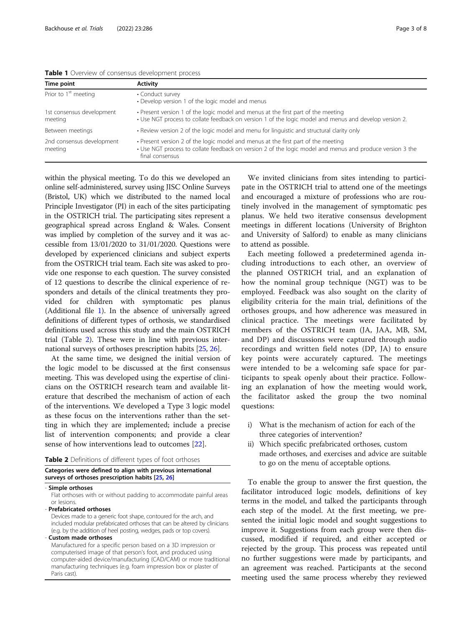1st co meet

meeting

<span id="page-2-0"></span>

| <b>EQUIC E</b> OVERVIEW OF CONSCISUS GEVEROPHICHT DIOCESS |                                                                                                                                                                                             |  |  |  |
|-----------------------------------------------------------|---------------------------------------------------------------------------------------------------------------------------------------------------------------------------------------------|--|--|--|
| Time point                                                | <b>Activity</b>                                                                                                                                                                             |  |  |  |
| Prior to 1 <sup>st</sup> meeting                          | • Conduct survey<br>• Develop version 1 of the logic model and menus                                                                                                                        |  |  |  |
| 1st consensus development<br>meeting                      | • Present version 1 of the logic model and menus at the first part of the meeting<br>• Use NGT process to collate feedback on version 1 of the logic model and menus and develop version 2. |  |  |  |
| Between meetings                                          | • Review version 2 of the logic model and menu for linguistic and structural clarity only                                                                                                   |  |  |  |

2nd consensus development • Present version 2 of the logic model and menus at the first part of the meeting

• Use NGT process to collate feedback on version 2 of the logic model and menus and produce version 3 the final consensus

within the physical meeting. To do this we developed an online self-administered, survey using JISC Online Surveys (Bristol, UK) which we distributed to the named local Principle Investigator (PI) in each of the sites participating in the OSTRICH trial. The participating sites represent a geographical spread across England & Wales. Consent was implied by completion of the survey and it was accessible from 13/01/2020 to 31/01/2020. Questions were developed by experienced clinicians and subject experts from the OSTRICH trial team. Each site was asked to provide one response to each question. The survey consisted of 12 questions to describe the clinical experience of responders and details of the clinical treatments they provided for children with symptomatic pes planus (Additional file [1](#page-6-0)). In the absence of universally agreed definitions of different types of orthosis, we standardised definitions used across this study and the main OSTRICH trial (Table 2). These were in line with previous international surveys of orthoses prescription habits [[25](#page-7-0), [26\]](#page-7-0).

At the same time, we designed the initial version of the logic model to be discussed at the first consensus meeting. This was developed using the expertise of clinicians on the OSTRICH research team and available literature that described the mechanism of action of each of the interventions. We developed a Type 3 logic model as these focus on the interventions rather than the setting in which they are implemented; include a precise list of intervention components; and provide a clear sense of how interventions lead to outcomes [\[22](#page-7-0)].

| <b>Table 2</b> Definitions of different types of foot orthoses |  |  |  |
|----------------------------------------------------------------|--|--|--|
|----------------------------------------------------------------|--|--|--|

# Categories were defined to align with previous international surveys of orthoses prescription habits [[25](#page-7-0), [26\]](#page-7-0)

#### Simple orthoses

Flat orthoses with or without padding to accommodate painful areas or lesions.

- Prefabricated orthoses

Devices made to a generic foot shape, contoured for the arch, and included modular prefabricated orthoses that can be altered by clinicians (e.g. by the addition of heel posting, wedges, pads or top covers).

- Custom made orthoses

Manufactured for a specific person based on a 3D impression or computerised image of that person's foot, and produced using computer-aided device/manufacturing (CAD/CAM) or more traditional manufacturing techniques (e.g. foam impression box or plaster of Paris cast).

We invited clinicians from sites intending to participate in the OSTRICH trial to attend one of the meetings and encouraged a mixture of professions who are routinely involved in the management of symptomatic pes planus. We held two iterative consensus development meetings in different locations (University of Brighton and University of Salford) to enable as many clinicians to attend as possible.

Each meeting followed a predetermined agenda including introductions to each other, an overview of the planned OSTRICH trial, and an explanation of how the nominal group technique (NGT) was to be employed. Feedback was also sought on the clarity of eligibility criteria for the main trial, definitions of the orthoses groups, and how adherence was measured in clinical practice. The meetings were facilitated by members of the OSTRICH team (JA, JAA, MB, SM, and DP) and discussions were captured through audio recordings and written field notes (DP, JA) to ensure key points were accurately captured. The meetings were intended to be a welcoming safe space for participants to speak openly about their practice. Following an explanation of how the meeting would work, the facilitator asked the group the two nominal questions:

- i) What is the mechanism of action for each of the three categories of intervention?
- ii) Which specific prefabricated orthoses, custom made orthoses, and exercises and advice are suitable to go on the menu of acceptable options.

To enable the group to answer the first question, the facilitator introduced logic models, definitions of key terms in the model, and talked the participants through each step of the model. At the first meeting, we presented the initial logic model and sought suggestions to improve it. Suggestions from each group were then discussed, modified if required, and either accepted or rejected by the group. This process was repeated until no further suggestions were made by participants, and an agreement was reached. Participants at the second meeting used the same process whereby they reviewed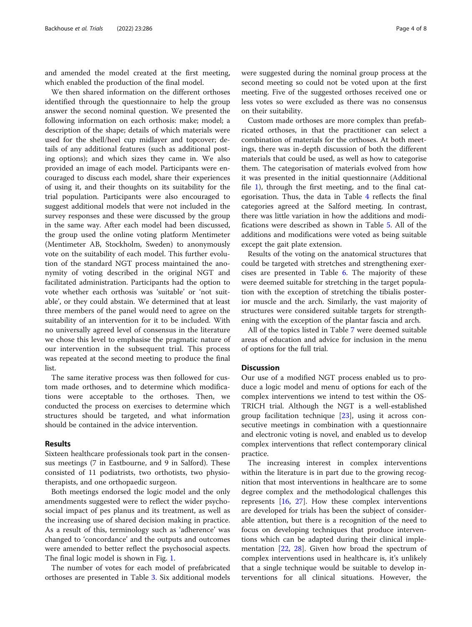and amended the model created at the first meeting, which enabled the production of the final model.

We then shared information on the different orthoses identified through the questionnaire to help the group answer the second nominal question. We presented the following information on each orthosis: make; model; a description of the shape; details of which materials were used for the shell/heel cup midlayer and topcover; details of any additional features (such as additional posting options); and which sizes they came in. We also provided an image of each model. Participants were encouraged to discuss each model, share their experiences of using it, and their thoughts on its suitability for the trial population. Participants were also encouraged to suggest additional models that were not included in the survey responses and these were discussed by the group in the same way. After each model had been discussed, the group used the online voting platform Mentimeter (Mentimeter AB, Stockholm, Sweden) to anonymously vote on the suitability of each model. This further evolution of the standard NGT process maintained the anonymity of voting described in the original NGT and facilitated administration. Participants had the option to vote whether each orthosis was 'suitable' or 'not suitable', or they could abstain. We determined that at least three members of the panel would need to agree on the suitability of an intervention for it to be included. With no universally agreed level of consensus in the literature we chose this level to emphasise the pragmatic nature of our intervention in the subsequent trial. This process was repeated at the second meeting to produce the final list.

The same iterative process was then followed for custom made orthoses, and to determine which modifications were acceptable to the orthoses. Then, we conducted the process on exercises to determine which structures should be targeted, and what information should be contained in the advice intervention.

# Results

Sixteen healthcare professionals took part in the consensus meetings (7 in Eastbourne, and 9 in Salford). These consisted of 11 podiatrists, two orthotists, two physiotherapists, and one orthopaedic surgeon.

Both meetings endorsed the logic model and the only amendments suggested were to reflect the wider psychosocial impact of pes planus and its treatment, as well as the increasing use of shared decision making in practice. As a result of this, terminology such as 'adherence' was changed to 'concordance' and the outputs and outcomes were amended to better reflect the psychosocial aspects. The final logic model is shown in Fig. [1](#page-4-0).

The number of votes for each model of prefabricated orthoses are presented in Table [3](#page-5-0). Six additional models were suggested during the nominal group process at the second meeting so could not be voted upon at the first meeting. Five of the suggested orthoses received one or less votes so were excluded as there was no consensus on their suitability.

Custom made orthoses are more complex than prefabricated orthoses, in that the practitioner can select a combination of materials for the orthoses. At both meetings, there was in-depth discussion of both the different materials that could be used, as well as how to categorise them. The categorisation of materials evolved from how it was presented in the initial questionnaire (Additional file [1\)](#page-6-0), through the first meeting, and to the final categorisation. Thus, the data in Table [4](#page-5-0) reflects the final categories agreed at the Salford meeting. In contrast, there was little variation in how the additions and modifications were described as shown in Table [5.](#page-5-0) All of the additions and modifications were voted as being suitable except the gait plate extension.

Results of the voting on the anatomical structures that could be targeted with stretches and strengthening exercises are presented in Table [6.](#page-6-0) The majority of these were deemed suitable for stretching in the target population with the exception of stretching the tibialis posterior muscle and the arch. Similarly, the vast majority of structures were considered suitable targets for strengthening with the exception of the plantar fascia and arch.

All of the topics listed in Table [7](#page-6-0) were deemed suitable areas of education and advice for inclusion in the menu of options for the full trial.

# **Discussion**

Our use of a modified NGT process enabled us to produce a logic model and menu of options for each of the complex interventions we intend to test within the OS-TRICH trial. Although the NGT is a well-established group facilitation technique [\[23\]](#page-7-0), using it across consecutive meetings in combination with a questionnaire and electronic voting is novel, and enabled us to develop complex interventions that reflect contemporary clinical practice.

The increasing interest in complex interventions within the literature is in part due to the growing recognition that most interventions in healthcare are to some degree complex and the methodological challenges this represents  $[16, 27]$  $[16, 27]$  $[16, 27]$ . How these complex interventions are developed for trials has been the subject of considerable attention, but there is a recognition of the need to focus on developing techniques that produce interventions which can be adapted during their clinical implementation [\[22](#page-7-0), [28\]](#page-7-0). Given how broad the spectrum of complex interventions used in healthcare is, it's unlikely that a single technique would be suitable to develop interventions for all clinical situations. However, the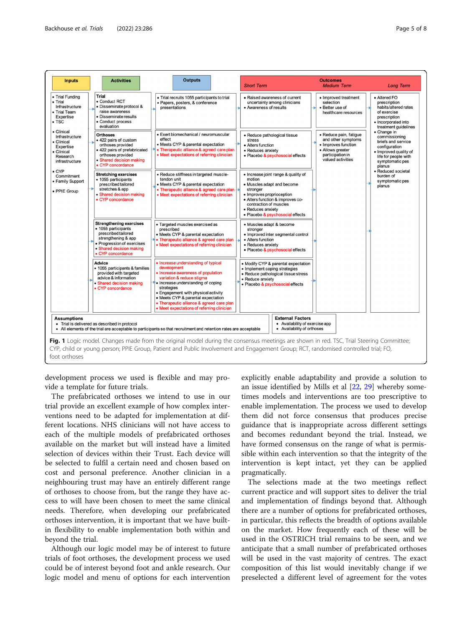<span id="page-4-0"></span>

| <b>Inputs</b>                                                                                       | <b>Activities</b>                                                                                                                                                                  | <b>Outputs</b>                                                                                                                                                                                                                                                                                                                                    | <b>Short Term</b>                                                                                                                                                                                                                           | <b>Outcomes</b><br><b>Medium Term</b>                                                                                            | <b>Long Term</b>                                                                                                                                  |
|-----------------------------------------------------------------------------------------------------|------------------------------------------------------------------------------------------------------------------------------------------------------------------------------------|---------------------------------------------------------------------------------------------------------------------------------------------------------------------------------------------------------------------------------------------------------------------------------------------------------------------------------------------------|---------------------------------------------------------------------------------------------------------------------------------------------------------------------------------------------------------------------------------------------|----------------------------------------------------------------------------------------------------------------------------------|---------------------------------------------------------------------------------------------------------------------------------------------------|
| • Trial Funding<br>$\bullet$ Trial<br>Infrastructure<br>• Trial Team<br>Expertise<br>$\bullet$ TSC  | <b>Trial</b><br>• Conduct RCT<br>· Disseminate protocol &<br>raise awareness<br>· Disseminate results<br>• Conduct process<br>evaluation                                           | · Trial recruits 1055 participants to trial<br>· Papers, posters, & conference<br>presentations                                                                                                                                                                                                                                                   | • Raised awareness of current<br>uncertainty among clinicians<br>• Awareness of results                                                                                                                                                     | • Improved treatment<br>selection<br>• Better use of<br>healthcare resources                                                     | • Altered FO<br>prescription<br>habits/altered rates<br>of exercise<br>prescription<br>· Incorporated into<br>treatment guidelines                |
| • Clinical<br>Infrastructure<br>• Clinical<br>Expertise<br>• Clinical<br>Research<br>infrastructure | <b>Orthoses</b><br>• 422 pairs of custom<br>orthoses provided<br>· 422 pairs of prefabricated<br>orthoses provided<br>· Shared decision making<br>• CYP concordance                | • Exert biomechanical / neuromuscular<br>effect<br>• Meets CYP & parental expectation<br>• Therapeutic alliance & agreed care plan<br>• Meet expectations of referring clinician                                                                                                                                                                  | • Reduce pathological tissue<br>stress<br>• Alters function<br>• Reduces anxiety<br>• Placebo & psychosocial effects                                                                                                                        | · Reduce pain, fatigue<br>and other symptoms<br>• Improves function<br>• Allows greater<br>participation in<br>valued activities | • Change in<br>commissioning<br>briefs and service<br>configuration<br>· Improved quality of<br>life for people with<br>symptomatic pes<br>planus |
| $\bullet$ CYP<br>Commitment<br>• Family Support<br>• PPIE Group                                     | <b>Stretching exercises</b><br>• 1055 participants<br>prescribed tailored<br>stretches & app<br>· Shared decision making<br>• CYP concordance                                      | · Reduce stiffness in targeted muscle-<br>tendon unit<br>• Meets CYP & parental expectation<br>· Therapeutic alliance & agreed care plan<br>• Meet expectations of referring clinician                                                                                                                                                            | · Increase joint range & quality of<br>motion<br>• Muscles adapt and become<br>stronger<br>• Improves proprioception<br>• Alters function & improves co-<br>contraction of muscles<br>• Reduces anxiety<br>· Placebo & psychosocial effects |                                                                                                                                  | · Reduced societal<br>burden of<br>symptomatic pes<br>planus                                                                                      |
|                                                                                                     | <b>Strengthening exercises</b><br>• 1055 participants<br>prescribed tailored<br>strengthening & app<br>• Progression of exercises<br>· Shared decision making<br>• CYP concordance | · Targeted muscles exercised as<br>prescribed<br>• Meets CYP & parental expectation<br>• Therapeutic alliance & agreed care plan<br>• Meet expectations of referring clinician                                                                                                                                                                    | • Muscles adapt & become<br>stronger<br>· Improved inter segmental control<br>• Alters function<br>• Reduces anxiety<br>• Placebo & psychosocial effects                                                                                    |                                                                                                                                  |                                                                                                                                                   |
|                                                                                                     | Advice<br>· 1055 participants & families<br>provided with targeted<br>advice & information<br>· Shared decision making<br>• CYP concordance                                        | • Increase understanding of typical<br>development<br>· Increase awareness of population<br>variation & reduce stigma<br>• Increase understanding of coping<br>strategies<br>· Engagement with physical activity<br>• Meets CYP & parental expectation<br>• Therapeutic alliance & agreed care plan<br>• Meet expectations of referring clinician | · Modify CYP & parental expectation<br>• Implement coping strategies<br>• Reduce pathological tissue stress<br>· Reduce anxiety<br>· Placebo & psychosocial effects                                                                         |                                                                                                                                  |                                                                                                                                                   |
| <b>Assumptions</b>                                                                                  | • Trial is delivered as described in protocol                                                                                                                                      | • All elements of the trial are acceptable to participants so that recruitment and retention rates are acceptable                                                                                                                                                                                                                                 | <b>External Factors</b><br>• Availability of exercise app<br>• Availability of orthoses                                                                                                                                                     |                                                                                                                                  |                                                                                                                                                   |

foot orthoses

development process we used is flexible and may provide a template for future trials.

The prefabricated orthoses we intend to use in our trial provide an excellent example of how complex interventions need to be adapted for implementation at different locations. NHS clinicians will not have access to each of the multiple models of prefabricated orthoses available on the market but will instead have a limited selection of devices within their Trust. Each device will be selected to fulfil a certain need and chosen based on cost and personal preference. Another clinician in a neighbouring trust may have an entirely different range of orthoses to choose from, but the range they have access to will have been chosen to meet the same clinical needs. Therefore, when developing our prefabricated orthoses intervention, it is important that we have builtin flexibility to enable implementation both within and beyond the trial.

Although our logic model may be of interest to future trials of foot orthoses, the development process we used could be of interest beyond foot and ankle research. Our logic model and menu of options for each intervention

explicitly enable adaptability and provide a solution to an issue identified by Mills et al [\[22](#page-7-0), [29](#page-7-0)] whereby sometimes models and interventions are too prescriptive to enable implementation. The process we used to develop them did not force consensus that produces precise guidance that is inappropriate across different settings and becomes redundant beyond the trial. Instead, we have formed consensus on the range of what is permissible within each intervention so that the integrity of the intervention is kept intact, yet they can be applied pragmatically.

The selections made at the two meetings reflect current practice and will support sites to deliver the trial and implementation of findings beyond that. Although there are a number of options for prefabricated orthoses, in particular, this reflects the breadth of options available on the market. How frequently each of these will be used in the OSTRICH trial remains to be seen, and we anticipate that a small number of prefabricated orthoses will be used in the vast majority of centres. The exact composition of this list would inevitably change if we preselected a different level of agreement for the votes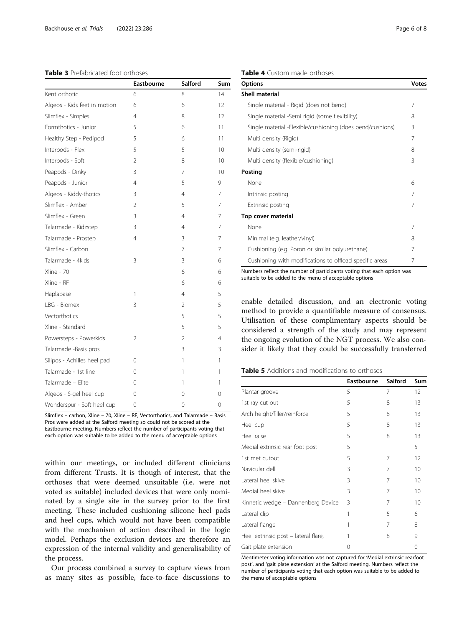# <span id="page-5-0"></span>Table 3 Prefabricated foot orthoses

|                              | Eastbourne     | Salford        | Sum |
|------------------------------|----------------|----------------|-----|
| Kent orthotic                | 6              | 8              | 14  |
| Algeos - Kids feet in motion | 6              | 6              | 12  |
| Slimflex - Simples           | 4              | 8              | 12  |
| Formthotics - Junior         | 5              | 6              | 11  |
| Healthy Step - Pedipod       | 5              | 6              | 11  |
| Interpods - Flex             | 5              | 5              | 10  |
| Interpods - Soft             | $\overline{2}$ | 8              | 10  |
| Peapods - Dinky              | 3              | 7              | 10  |
| Peapods - Junior             | 4              | 5              | 9   |
| Algeos - Kiddy-thotics       | 3              | $\overline{4}$ | 7   |
| Slimflex - Amber             | $\overline{2}$ | 5              | 7   |
| Slimflex - Green             | 3              | 4              | 7   |
| Talarmade - Kidzstep         | 3              | $\overline{4}$ | 7   |
| Talarmade - Prostep          | 4              | 3              | 7   |
| Slimflex - Carbon            |                | 7              | 7   |
| Talarmade - 4kids            | 3              | 3              | 6   |
| Xline - 70                   |                | 6              | 6   |
| Xline - RF                   |                | 6              | 6   |
| Haplabase                    | 1              | $\overline{4}$ | 5   |
| LBG - Biomex                 | 3              | 2              | 5   |
| Vectorthotics                |                | 5              | 5   |
| Xline - Standard             |                | 5              | 5   |
| Powersteps - Powerkids       | 2              | $\overline{2}$ | 4   |
| Talarmade -Basis pros        |                | 3              | 3   |
| Silipos - Achilles heel pad  | 0              | 1              | 1   |
| Talarmade - 1st line         | $\Omega$       | 1              | 1   |
| Talarmade - Elite            | $\Omega$       | 1              | 1   |
| Algeos - S-gel heel cup      | 0              | $\Omega$       | 0   |
| Wonderspur - Soft heel cup   | 0              | 0              | 0   |

Slimflex – carbon, Xline – 70, Xline – RF, Vectorthotics, and Talarmade – Basis Pros were added at the Salford meeting so could not be scored at the Eastbourne meeting. Numbers reflect the number of participants voting that each option was suitable to be added to the menu of acceptable options

within our meetings, or included different clinicians from different Trusts. It is though of interest, that the orthoses that were deemed unsuitable (i.e. were not voted as suitable) included devices that were only nominated by a single site in the survey prior to the first meeting. These included cushioning silicone heel pads and heel cups, which would not have been compatible with the mechanism of action described in the logic model. Perhaps the exclusion devices are therefore an expression of the internal validity and generalisability of the process.

Our process combined a survey to capture views from as many sites as possible, face-to-face discussions to

| <b>Table 4</b> Custom made orthoses |  |
|-------------------------------------|--|
|-------------------------------------|--|

| <b>Options</b>                                            | Votes |
|-----------------------------------------------------------|-------|
| <b>Shell material</b>                                     |       |
| Single material - Rigid (does not bend)                   | 7     |
| Single material -Semi rigid (some flexibility)            | 8     |
| Single material -Flexible/cushioning (does bend/cushions) | 3     |
| Multi density (Rigid)                                     | 7     |
| Multi density (semi-rigid)                                | 8     |
| Multi density (flexible/cushioning)                       | 3     |
| Posting                                                   |       |
| None                                                      | 6     |
| Intrinsic posting                                         | 7     |
| Extrinsic posting                                         | 7     |
| Top cover material                                        |       |
| None                                                      | 7     |
| Minimal (e.g. leather/vinyl)                              | 8     |
| Cushioning (e.g. Poron or similar polyurethane)           | 7     |
| Cushioning with modifications to offload specific areas   | 7     |

Numbers reflect the number of participants voting that each option was suitable to be added to the menu of acceptable options

enable detailed discussion, and an electronic voting method to provide a quantifiable measure of consensus. Utilisation of these complimentary aspects should be considered a strength of the study and may represent the ongoing evolution of the NGT process. We also consider it likely that they could be successfully transferred

| <b>Table 5</b> Additions and modifications to orthoses |
|--------------------------------------------------------|
|--------------------------------------------------------|

|                                      | Eastbourne | Salford | Sum |
|--------------------------------------|------------|---------|-----|
| Plantar groove                       | 5          | 7       | 12  |
| 1st ray cut out                      | 5          | 8       | 13  |
| Arch height/filler/reinforce         | 5          | 8       | 13  |
| Heel cup                             | 5          | 8       | 13  |
| Heel raise                           | 5          | 8       | 13  |
| Medial extrinsic rear foot post      | 5          |         | 5   |
| 1st met cutout                       | 5          | 7       | 12  |
| Navicular dell                       | 3          | 7       | 10  |
| Lateral heel skive                   | 3          | 7       | 10  |
| Medial heel skive                    | 3          | 7       | 10  |
| Kinnetic wedge - Dannenberg Device   | 3          | 7       | 10  |
| Lateral clip                         | 1          | 5       | 6   |
| Lateral flange                       |            | 7       | 8   |
| Heel extrinsic post - lateral flare, |            | 8       | 9   |
| Gait plate extension                 |            |         | 0   |

Mentimeter voting information was not captured for 'Medial extrinsic rearfoot post', and 'gait plate extension' at the Salford meeting. Numbers reflect the number of participants voting that each option was suitable to be added to the menu of acceptable options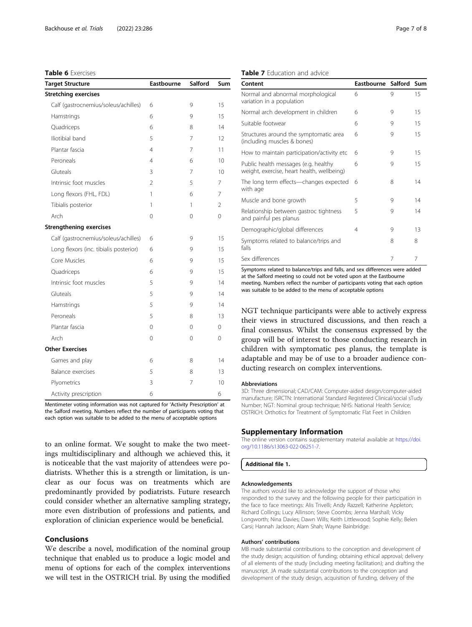# <span id="page-6-0"></span>Table 6 Exercises

| <b>Target Structure</b>                | Eastbourne     | <b>Salford</b> | Sum      |
|----------------------------------------|----------------|----------------|----------|
| <b>Stretching exercises</b>            |                |                |          |
| Calf (gastrocnemius/soleus/achilles)   | 6              | 9              | 15       |
| Hamstrings                             | 6              | 9              | 15       |
| Quadriceps                             | 6              | 8              | 14       |
| Iliotibial band                        | 5              | 7              | 12       |
| Plantar fascia                         | 4              | 7              | 11       |
| Peroneals                              | $\overline{4}$ | 6              | 10       |
| Gluteals                               | 3              | 7              | 10       |
| Intrinsic foot muscles                 | $\overline{2}$ | 5              | 7        |
| Long flexors (FHL, FDL)                | 1              | 6              | 7        |
| Tibialis posterior                     | 1              | 1              | 2        |
| Arch                                   | 0              | 0              | 0        |
| <b>Strengthening exercises</b>         |                |                |          |
| Calf (gastrocnemius/soleus/achilles)   | 6              | 9              | 15       |
| Long flexors (inc. tibialis posterior) | 6              | 9              | 15       |
| Core Muscles                           | 6              | 9              | 15       |
| Quadriceps                             | 6              | 9              | 15       |
| Intrinsic foot muscles                 | 5              | 9              | 14       |
| Gluteals                               | 5              | 9              | 14       |
| Hamstrings                             | 5              | 9              | 14       |
| Peroneals                              | 5              | 8              | 13       |
| Plantar fascia                         | $\Omega$       | $\Omega$       | $\Omega$ |
| Arch                                   | 0              | $\Omega$       | $\Omega$ |
| <b>Other Exercises</b>                 |                |                |          |
| Games and play                         | 6              | 8              | 14       |
| <b>Balance exercises</b>               | 5              | 8              | 13       |
| Plyometrics                            | 3              | 7              | 10       |
| Activity prescription                  | 6              |                | 6        |

Mentimeter voting information was not captured for 'Activity Prescription' at the Salford meeting. Numbers reflect the number of participants voting that each option was suitable to be added to the menu of acceptable options

to an online format. We sought to make the two meetings multidisciplinary and although we achieved this, it is noticeable that the vast majority of attendees were podiatrists. Whether this is a strength or limitation, is unclear as our focus was on treatments which are predominantly provided by podiatrists. Future research could consider whether an alternative sampling strategy, more even distribution of professions and patients, and exploration of clinician experience would be beneficial.

# Conclusions

We describe a novel, modification of the nominal group technique that enabled us to produce a logic model and menu of options for each of the complex interventions we will test in the OSTRICH trial. By using the modified

| Content                                                                            | Eastbourne Salford Sum |   |    |
|------------------------------------------------------------------------------------|------------------------|---|----|
| Normal and abnormal morphological<br>variation in a population                     | 6                      | 9 | 15 |
| Normal arch development in children                                                | 6                      | 9 | 15 |
| Suitable footwear                                                                  | 6                      | 9 | 15 |
| Structures around the symptomatic area<br>(including muscles & bones)              | 6                      | 9 | 15 |
| How to maintain participation/activity etc                                         | 6                      | 9 | 15 |
| Public health messages (e.g. healthy<br>weight, exercise, heart health, wellbeing) | 6                      | 9 | 15 |
| The long term effects-changes expected<br>with age                                 | 6                      | 8 | 14 |
| Muscle and bone growth                                                             | 5                      | 9 | 14 |
| Relationship between gastroc tightness<br>and painful pes planus                   | 5                      | 9 | 14 |
| Demographic/global differences                                                     | 4                      | 9 | 13 |
| Symptoms related to balance/trips and<br>falls                                     |                        | 8 | 8  |
| Sex differences                                                                    |                        | 7 | 7  |

Symptoms related to balance/trips and falls, and sex differences were added at the Salford meeting so could not be voted upon at the Eastbourne meeting. Numbers reflect the number of participants voting that each option was suitable to be added to the menu of acceptable options

NGT technique participants were able to actively express their views in structured discussions, and then reach a final consensus. Whilst the consensus expressed by the group will be of interest to those conducting research in children with symptomatic pes planus, the template is adaptable and may be of use to a broader audience conducting research on complex interventions.

#### **Abbreviations**

3D: Three dimensional; CAD/CAM: Computer-aided design/computer-aided manufacture; ISRCTN: International Standard Registered Clinical/social sTudy Number; NGT: Nominal group technique; NHS: National Health Service; OSTRICH: Orthotics for Treatment of Symptomatic Flat Feet in Children

#### Supplementary Information

The online version contains supplementary material available at [https://doi.](https://doi.org/10.1186/s13063-022-06251-7) [org/10.1186/s13063-022-06251-7.](https://doi.org/10.1186/s13063-022-06251-7)

#### Additional file 1.

#### Acknowledgements

The authors would like to acknowledge the support of those who responded to the survey and the following people for their participation in the face to face meetings: Alis Trivelli; Andy Razzell; Katherine Appleton; Richard Collings; Lucy Allinson; Steve Coombs; Jenna Marshall; Vicky Longworth; Nina Davies; Dawn Wills; Keith Littlewood; Sophie Kelly; Belen Carsi; Hannah Jackson; Alam Shah; Wayne Bainbridge.

#### Authors' contributions

MB made substantial contributions to the conception and development of the study design; acquisition of funding; obtaining ethical approval; delivery of all elements of the study (including meeting facilitation); and drafting the manuscript. JA made substantial contributions to the conception and development of the study design, acquisition of funding, delivery of the